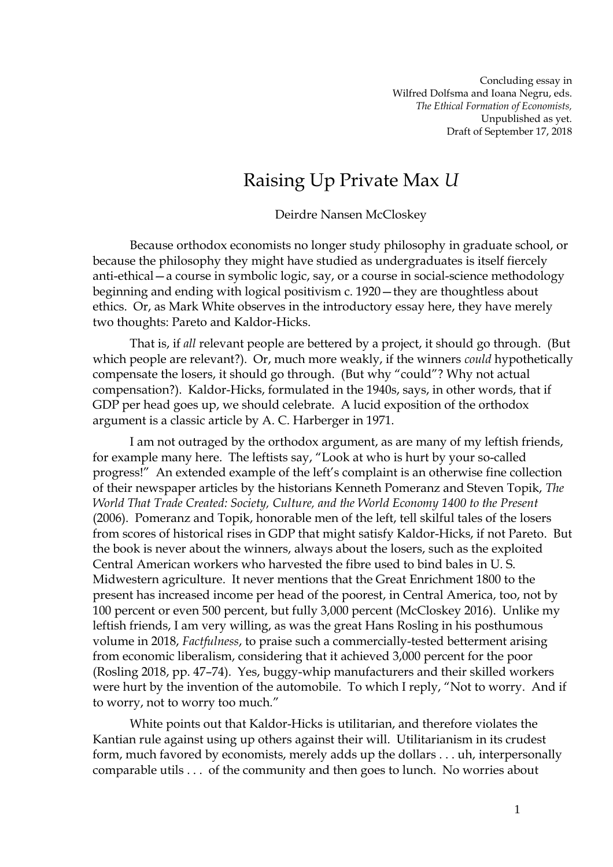Concluding essay in Wilfred Dolfsma and Ioana Negru, eds. *The Ethical Formation of Economists,* Unpublished as yet. Draft of September 17, 2018

## Raising Up Private Max *U*

Deirdre Nansen McCloskey

Because orthodox economists no longer study philosophy in graduate school, or because the philosophy they might have studied as undergraduates is itself fiercely anti-ethical—a course in symbolic logic, say, or a course in social-science methodology beginning and ending with logical positivism c. 1920—they are thoughtless about ethics. Or, as Mark White observes in the introductory essay here, they have merely two thoughts: Pareto and Kaldor-Hicks.

That is, if *all* relevant people are bettered by a project, it should go through. (But which people are relevant?). Or, much more weakly, if the winners *could* hypothetically compensate the losers, it should go through. (But why "could"? Why not actual compensation?). Kaldor-Hicks, formulated in the 1940s, says, in other words, that if GDP per head goes up, we should celebrate. A lucid exposition of the orthodox argument is a classic article by A. C. Harberger in 1971.

I am not outraged by the orthodox argument, as are many of my leftish friends, for example many here. The leftists say, "Look at who is hurt by your so-called progress!" An extended example of the left's complaint is an otherwise fine collection of their newspaper articles by the historians Kenneth Pomeranz and Steven Topik, *The World That Trade Created: Society, Culture, and the World Economy 1400 to the Present*  (2006). Pomeranz and Topik, honorable men of the left, tell skilful tales of the losers from scores of historical rises in GDP that might satisfy Kaldor-Hicks, if not Pareto. But the book is never about the winners, always about the losers, such as the exploited Central American workers who harvested the fibre used to bind bales in U. S. Midwestern agriculture. It never mentions that the Great Enrichment 1800 to the present has increased income per head of the poorest, in Central America, too, not by 100 percent or even 500 percent, but fully 3,000 percent (McCloskey 2016). Unlike my leftish friends, I am very willing, as was the great Hans Rosling in his posthumous volume in 2018, *Factfulness*, to praise such a commercially-tested betterment arising from economic liberalism, considering that it achieved 3,000 percent for the poor (Rosling 2018, pp. 47–74). Yes, buggy-whip manufacturers and their skilled workers were hurt by the invention of the automobile. To which I reply, "Not to worry. And if to worry, not to worry too much."

White points out that Kaldor-Hicks is utilitarian, and therefore violates the Kantian rule against using up others against their will. Utilitarianism in its crudest form, much favored by economists, merely adds up the dollars . . . uh, interpersonally comparable utils . . . of the community and then goes to lunch. No worries about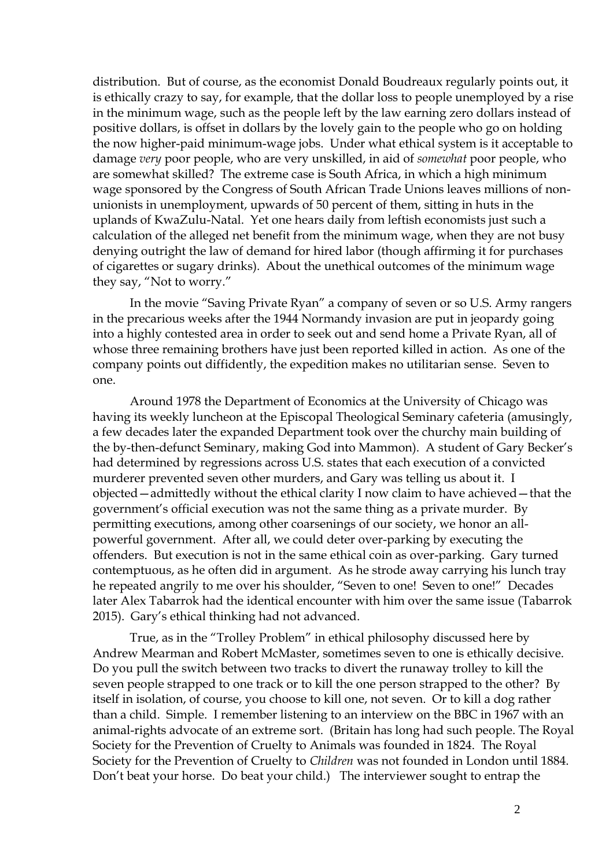distribution. But of course, as the economist Donald Boudreaux regularly points out, it is ethically crazy to say, for example, that the dollar loss to people unemployed by a rise in the minimum wage, such as the people left by the law earning zero dollars instead of positive dollars, is offset in dollars by the lovely gain to the people who go on holding the now higher-paid minimum-wage jobs. Under what ethical system is it acceptable to damage *very* poor people, who are very unskilled, in aid of *somewhat* poor people, who are somewhat skilled? The extreme case is South Africa, in which a high minimum wage sponsored by the Congress of South African Trade Unions leaves millions of nonunionists in unemployment, upwards of 50 percent of them, sitting in huts in the uplands of KwaZulu-Natal. Yet one hears daily from leftish economists just such a calculation of the alleged net benefit from the minimum wage, when they are not busy denying outright the law of demand for hired labor (though affirming it for purchases of cigarettes or sugary drinks). About the unethical outcomes of the minimum wage they say, "Not to worry."

In the movie "Saving Private Ryan" a company of seven or so U.S. Army rangers in the precarious weeks after the 1944 Normandy invasion are put in jeopardy going into a highly contested area in order to seek out and send home a Private Ryan, all of whose three remaining brothers have just been reported killed in action. As one of the company points out diffidently, the expedition makes no utilitarian sense. Seven to one.

Around 1978 the Department of Economics at the University of Chicago was having its weekly luncheon at the Episcopal Theological Seminary cafeteria (amusingly, a few decades later the expanded Department took over the churchy main building of the by-then-defunct Seminary, making God into Mammon). A student of Gary Becker's had determined by regressions across U.S. states that each execution of a convicted murderer prevented seven other murders, and Gary was telling us about it. I objected—admittedly without the ethical clarity I now claim to have achieved—that the government's official execution was not the same thing as a private murder. By permitting executions, among other coarsenings of our society, we honor an allpowerful government. After all, we could deter over-parking by executing the offenders. But execution is not in the same ethical coin as over-parking. Gary turned contemptuous, as he often did in argument. As he strode away carrying his lunch tray he repeated angrily to me over his shoulder, "Seven to one! Seven to one!" Decades later Alex Tabarrok had the identical encounter with him over the same issue (Tabarrok 2015). Gary's ethical thinking had not advanced.

True, as in the "Trolley Problem" in ethical philosophy discussed here by Andrew Mearman and Robert McMaster, sometimes seven to one is ethically decisive. Do you pull the switch between two tracks to divert the runaway trolley to kill the seven people strapped to one track or to kill the one person strapped to the other? By itself in isolation, of course, you choose to kill one, not seven. Or to kill a dog rather than a child. Simple. I remember listening to an interview on the BBC in 1967 with an animal-rights advocate of an extreme sort. (Britain has long had such people. The Royal Society for the Prevention of Cruelty to Animals was founded in 1824. The Royal Society for the Prevention of Cruelty to *Children* was not founded in London until 1884. Don't beat your horse. Do beat your child.) The interviewer sought to entrap the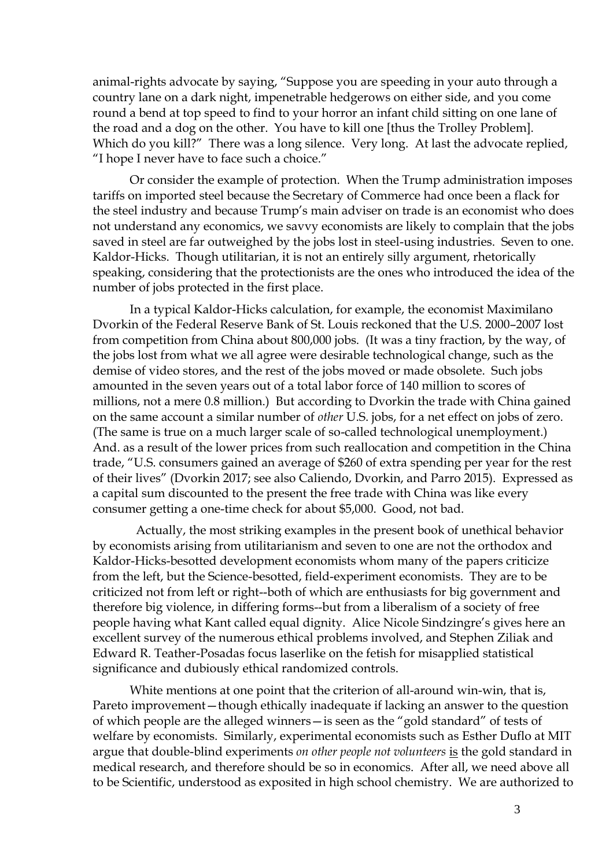animal-rights advocate by saying, "Suppose you are speeding in your auto through a country lane on a dark night, impenetrable hedgerows on either side, and you come round a bend at top speed to find to your horror an infant child sitting on one lane of the road and a dog on the other. You have to kill one [thus the Trolley Problem]. Which do you kill?" There was a long silence. Very long. At last the advocate replied, "I hope I never have to face such a choice."

Or consider the example of protection. When the Trump administration imposes tariffs on imported steel because the Secretary of Commerce had once been a flack for the steel industry and because Trump's main adviser on trade is an economist who does not understand any economics, we savvy economists are likely to complain that the jobs saved in steel are far outweighed by the jobs lost in steel-using industries. Seven to one. Kaldor-Hicks. Though utilitarian, it is not an entirely silly argument, rhetorically speaking, considering that the protectionists are the ones who introduced the idea of the number of jobs protected in the first place.

In a typical Kaldor-Hicks calculation, for example, the economist Maximilano Dvorkin of the Federal Reserve Bank of St. Louis reckoned that the U.S. 2000–2007 lost from competition from China about 800,000 jobs. (It was a tiny fraction, by the way, of the jobs lost from what we all agree were desirable technological change, such as the demise of video stores, and the rest of the jobs moved or made obsolete. Such jobs amounted in the seven years out of a total labor force of 140 million to scores of millions, not a mere 0.8 million.) But according to Dvorkin the trade with China gained on the same account a similar number of *other* U.S. jobs, for a net effect on jobs of zero. (The same is true on a much larger scale of so-called technological unemployment.) And. as a result of the lower prices from such reallocation and competition in the China trade, "U.S. consumers gained an average of \$260 of extra spending per year for the rest of their lives" (Dvorkin 2017; see also Caliendo, Dvorkin, and Parro 2015). Expressed as a capital sum discounted to the present the free trade with China was like every consumer getting a one-time check for about \$5,000. Good, not bad.

 Actually, the most striking examples in the present book of unethical behavior by economists arising from utilitarianism and seven to one are not the orthodox and Kaldor-Hicks-besotted development economists whom many of the papers criticize from the left, but the Science-besotted, field-experiment economists. They are to be criticized not from left or right--both of which are enthusiasts for big government and therefore big violence, in differing forms--but from a liberalism of a society of free people having what Kant called equal dignity. Alice Nicole Sindzingre's gives here an excellent survey of the numerous ethical problems involved, and Stephen Ziliak and Edward R. Teather-Posadas focus laserlike on the fetish for misapplied statistical significance and dubiously ethical randomized controls.

White mentions at one point that the criterion of all-around win-win, that is, Pareto improvement—though ethically inadequate if lacking an answer to the question of which people are the alleged winners—is seen as the "gold standard" of tests of welfare by economists. Similarly, experimental economists such as Esther Duflo at MIT argue that double-blind experiments *on other people not volunteers* is the gold standard in medical research, and therefore should be so in economics. After all, we need above all to be Scientific, understood as exposited in high school chemistry. We are authorized to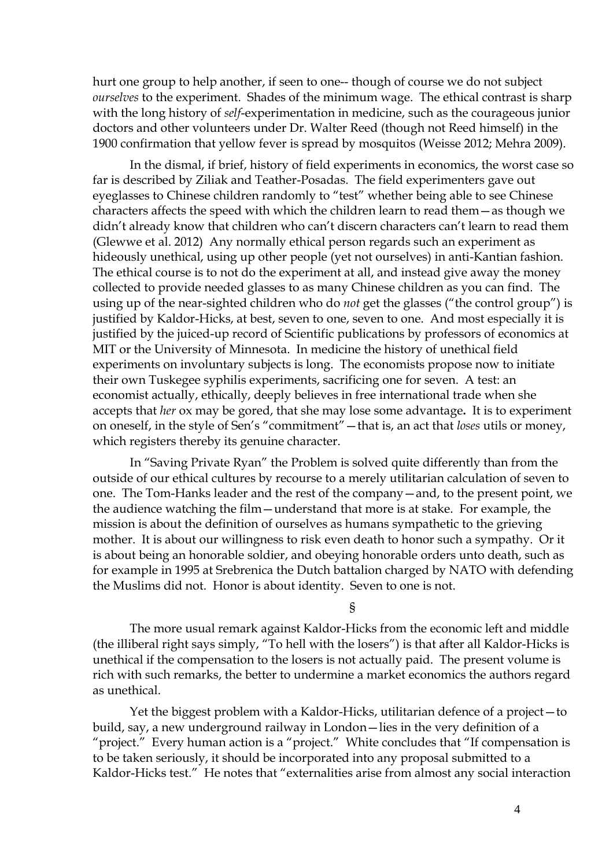hurt one group to help another, if seen to one-- though of course we do not subject *ourselves* to the experiment. Shades of the minimum wage. The ethical contrast is sharp with the long history of *self*-experimentation in medicine, such as the courageous junior doctors and other volunteers under Dr. Walter Reed (though not Reed himself) in the 1900 confirmation that yellow fever is spread by mosquitos (Weisse 2012; Mehra 2009).

In the dismal, if brief, history of field experiments in economics, the worst case so far is described by Ziliak and Teather-Posadas. The field experimenters gave out eyeglasses to Chinese children randomly to "test" whether being able to see Chinese characters affects the speed with which the children learn to read them—as though we didn't already know that children who can't discern characters can't learn to read them (Glewwe et al. 2012) Any normally ethical person regards such an experiment as hideously unethical, using up other people (yet not ourselves) in anti-Kantian fashion. The ethical course is to not do the experiment at all, and instead give away the money collected to provide needed glasses to as many Chinese children as you can find. The using up of the near-sighted children who do *not* get the glasses ("the control group") is justified by Kaldor-Hicks, at best, seven to one, seven to one. And most especially it is justified by the juiced-up record of Scientific publications by professors of economics at MIT or the University of Minnesota. In medicine the history of unethical field experiments on involuntary subjects is long. The economists propose now to initiate their own Tuskegee syphilis experiments, sacrificing one for seven. A test: an economist actually, ethically, deeply believes in free international trade when she accepts that *her* ox may be gored, that she may lose some advantage**.** It is to experiment on oneself, in the style of Sen's "commitment"—that is, an act that *loses* utils or money, which registers thereby its genuine character.

In "Saving Private Ryan" the Problem is solved quite differently than from the outside of our ethical cultures by recourse to a merely utilitarian calculation of seven to one. The Tom-Hanks leader and the rest of the company—and, to the present point, we the audience watching the film—understand that more is at stake. For example, the mission is about the definition of ourselves as humans sympathetic to the grieving mother. It is about our willingness to risk even death to honor such a sympathy. Or it is about being an honorable soldier, and obeying honorable orders unto death, such as for example in 1995 at Srebrenica the Dutch battalion charged by NATO with defending the Muslims did not. Honor is about identity. Seven to one is not.

§

The more usual remark against Kaldor-Hicks from the economic left and middle (the illiberal right says simply, "To hell with the losers") is that after all Kaldor-Hicks is unethical if the compensation to the losers is not actually paid. The present volume is rich with such remarks, the better to undermine a market economics the authors regard as unethical.

Yet the biggest problem with a Kaldor-Hicks, utilitarian defence of a project—to build, say, a new underground railway in London—lies in the very definition of a "project." Every human action is a "project." White concludes that "If compensation is to be taken seriously, it should be incorporated into any proposal submitted to a Kaldor-Hicks test." He notes that "externalities arise from almost any social interaction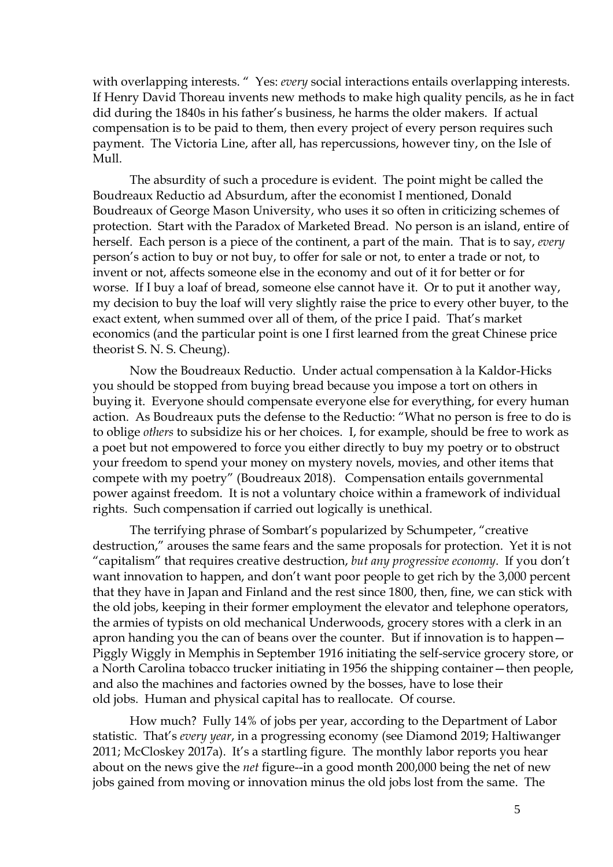with overlapping interests. "Yes: *every* social interactions entails overlapping interests. If Henry David Thoreau invents new methods to make high quality pencils, as he in fact did during the 1840s in his father's business, he harms the older makers. If actual compensation is to be paid to them, then every project of every person requires such payment. The Victoria Line, after all, has repercussions, however tiny, on the Isle of Mull.

The absurdity of such a procedure is evident. The point might be called the Boudreaux Reductio ad Absurdum, after the economist I mentioned, Donald Boudreaux of George Mason University, who uses it so often in criticizing schemes of protection. Start with the Paradox of Marketed Bread. No person is an island, entire of herself. Each person is a piece of the continent, a part of the main. That is to say, *every* person's action to buy or not buy, to offer for sale or not, to enter a trade or not, to invent or not, affects someone else in the economy and out of it for better or for worse. If I buy a loaf of bread, someone else cannot have it. Or to put it another way, my decision to buy the loaf will very slightly raise the price to every other buyer, to the exact extent, when summed over all of them, of the price I paid. That's market economics (and the particular point is one I first learned from the great Chinese price theorist S. N. S. Cheung).

Now the Boudreaux Reductio. Under actual compensation à la Kaldor-Hicks you should be stopped from buying bread because you impose a tort on others in buying it. Everyone should compensate everyone else for everything, for every human action. As Boudreaux puts the defense to the Reductio: "What no person is free to do is to oblige *others* to subsidize his or her choices. I, for example, should be free to work as a poet but not empowered to force you either directly to buy my poetry or to obstruct your freedom to spend your money on mystery novels, movies, and other items that compete with my poetry" (Boudreaux 2018). Compensation entails governmental power against freedom. It is not a voluntary choice within a framework of individual rights. Such compensation if carried out logically is unethical.

The terrifying phrase of Sombart's popularized by Schumpeter, "creative destruction," arouses the same fears and the same proposals for protection. Yet it is not "capitalism" that requires creative destruction, *but any progressive economy*. If you don't want innovation to happen, and don't want poor people to get rich by the 3,000 percent that they have in Japan and Finland and the rest since 1800, then, fine, we can stick with the old jobs, keeping in their former employment the elevator and telephone operators, the armies of typists on old mechanical Underwoods, grocery stores with a clerk in an apron handing you the can of beans over the counter. But if innovation is to happen— Piggly Wiggly in Memphis in September 1916 initiating the self-service grocery store, or a North Carolina tobacco trucker initiating in 1956 the shipping container—then people, and also the machines and factories owned by the bosses, have to lose their old jobs. Human and physical capital has to reallocate. Of course.

How much? Fully 14% of jobs per year, according to the Department of Labor statistic. That's *every year*, in a progressing economy (see Diamond 2019; Haltiwanger 2011; McCloskey 2017a). It's a startling figure. The monthly labor reports you hear about on the news give the *net* figure--in a good month 200,000 being the net of new jobs gained from moving or innovation minus the old jobs lost from the same. The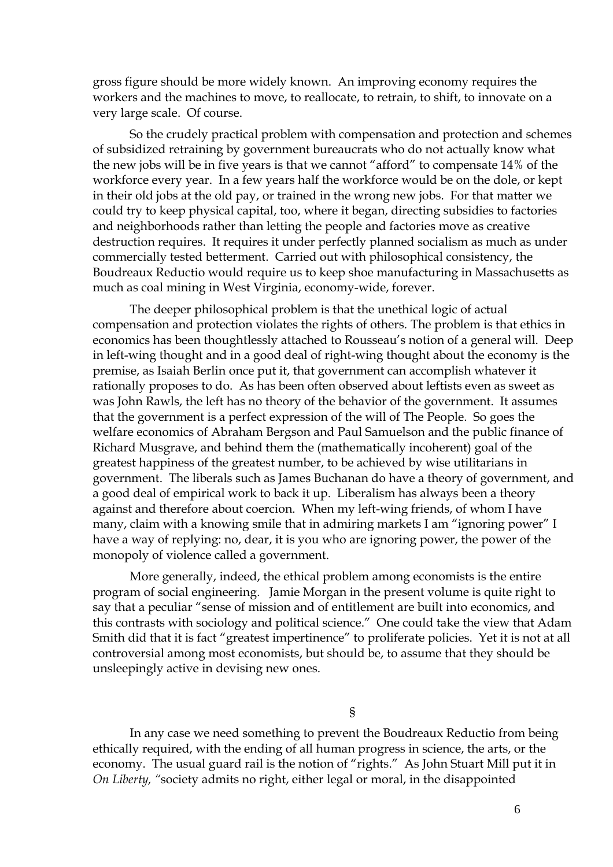gross figure should be more widely known. An improving economy requires the workers and the machines to move, to reallocate, to retrain, to shift, to innovate on a very large scale. Of course.

So the crudely practical problem with compensation and protection and schemes of subsidized retraining by government bureaucrats who do not actually know what the new jobs will be in five years is that we cannot "afford" to compensate 14% of the workforce every year. In a few years half the workforce would be on the dole, or kept in their old jobs at the old pay, or trained in the wrong new jobs. For that matter we could try to keep physical capital, too, where it began, directing subsidies to factories and neighborhoods rather than letting the people and factories move as creative destruction requires. It requires it under perfectly planned socialism as much as under commercially tested betterment. Carried out with philosophical consistency, the Boudreaux Reductio would require us to keep shoe manufacturing in Massachusetts as much as coal mining in West Virginia, economy-wide, forever.

The deeper philosophical problem is that the unethical logic of actual compensation and protection violates the rights of others. The problem is that ethics in economics has been thoughtlessly attached to Rousseau's notion of a general will. Deep in left-wing thought and in a good deal of right-wing thought about the economy is the premise, as Isaiah Berlin once put it, that government can accomplish whatever it rationally proposes to do. As has been often observed about leftists even as sweet as was John Rawls, the left has no theory of the behavior of the government. It assumes that the government is a perfect expression of the will of The People. So goes the welfare economics of Abraham Bergson and Paul Samuelson and the public finance of Richard Musgrave, and behind them the (mathematically incoherent) goal of the greatest happiness of the greatest number, to be achieved by wise utilitarians in government. The liberals such as James Buchanan do have a theory of government, and a good deal of empirical work to back it up. Liberalism has always been a theory against and therefore about coercion. When my left-wing friends, of whom I have many, claim with a knowing smile that in admiring markets I am "ignoring power" I have a way of replying: no, dear, it is you who are ignoring power, the power of the monopoly of violence called a government.

More generally, indeed, the ethical problem among economists is the entire program of social engineering. Jamie Morgan in the present volume is quite right to say that a peculiar "sense of mission and of entitlement are built into economics, and this contrasts with sociology and political science." One could take the view that Adam Smith did that it is fact "greatest impertinence" to proliferate policies. Yet it is not at all controversial among most economists, but should be, to assume that they should be unsleepingly active in devising new ones.

§

In any case we need something to prevent the Boudreaux Reductio from being ethically required, with the ending of all human progress in science, the arts, or the economy. The usual guard rail is the notion of "rights." As John Stuart Mill put it in *On Liberty, "*society admits no right, either legal or moral, in the disappointed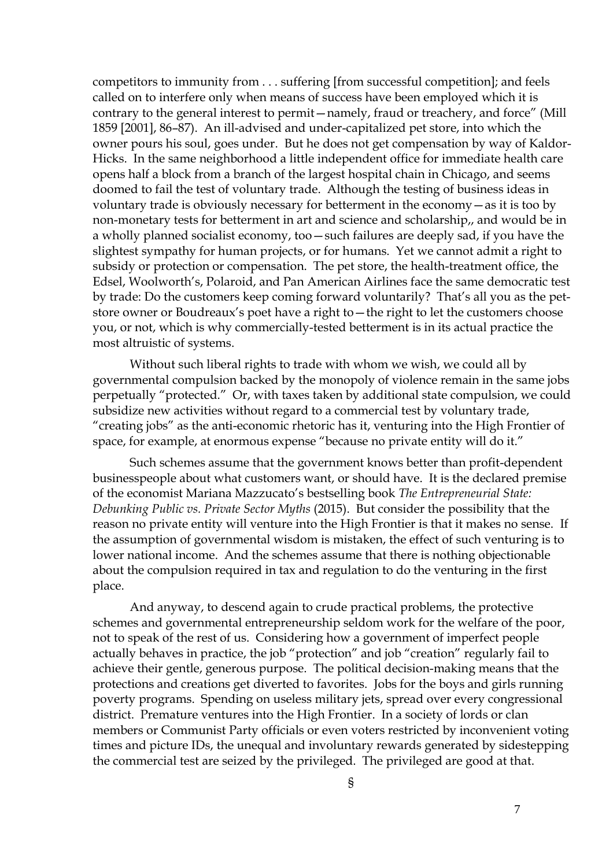competitors to immunity from . . . suffering [from successful competition]; and feels called on to interfere only when means of success have been employed which it is contrary to the general interest to permit—namely, fraud or treachery, and force" (Mill 1859 [2001], 86–87). An ill-advised and under-capitalized pet store, into which the owner pours his soul, goes under. But he does not get compensation by way of Kaldor-Hicks. In the same neighborhood a little independent office for immediate health care opens half a block from a branch of the largest hospital chain in Chicago, and seems doomed to fail the test of voluntary trade. Although the testing of business ideas in voluntary trade is obviously necessary for betterment in the economy—as it is too by non-monetary tests for betterment in art and science and scholarship,, and would be in a wholly planned socialist economy, too—such failures are deeply sad, if you have the slightest sympathy for human projects, or for humans. Yet we cannot admit a right to subsidy or protection or compensation. The pet store, the health-treatment office, the Edsel, Woolworth's, Polaroid, and Pan American Airlines face the same democratic test by trade: Do the customers keep coming forward voluntarily? That's all you as the petstore owner or Boudreaux's poet have a right to—the right to let the customers choose you, or not, which is why commercially-tested betterment is in its actual practice the most altruistic of systems.

Without such liberal rights to trade with whom we wish, we could all by governmental compulsion backed by the monopoly of violence remain in the same jobs perpetually "protected." Or, with taxes taken by additional state compulsion, we could subsidize new activities without regard to a commercial test by voluntary trade, "creating jobs" as the anti-economic rhetoric has it, venturing into the High Frontier of space, for example, at enormous expense "because no private entity will do it."

Such schemes assume that the government knows better than profit-dependent businesspeople about what customers want, or should have. It is the declared premise of the economist Mariana Mazzucato's bestselling book *The Entrepreneurial State: Debunking Public vs. Private Sector Myths* (2015). But consider the possibility that the reason no private entity will venture into the High Frontier is that it makes no sense. If the assumption of governmental wisdom is mistaken, the effect of such venturing is to lower national income. And the schemes assume that there is nothing objectionable about the compulsion required in tax and regulation to do the venturing in the first place.

And anyway, to descend again to crude practical problems, the protective schemes and governmental entrepreneurship seldom work for the welfare of the poor, not to speak of the rest of us. Considering how a government of imperfect people actually behaves in practice, the job "protection" and job "creation" regularly fail to achieve their gentle, generous purpose. The political decision-making means that the protections and creations get diverted to favorites. Jobs for the boys and girls running poverty programs. Spending on useless military jets, spread over every congressional district. Premature ventures into the High Frontier. In a society of lords or clan members or Communist Party officials or even voters restricted by inconvenient voting times and picture IDs, the unequal and involuntary rewards generated by sidestepping the commercial test are seized by the privileged. The privileged are good at that.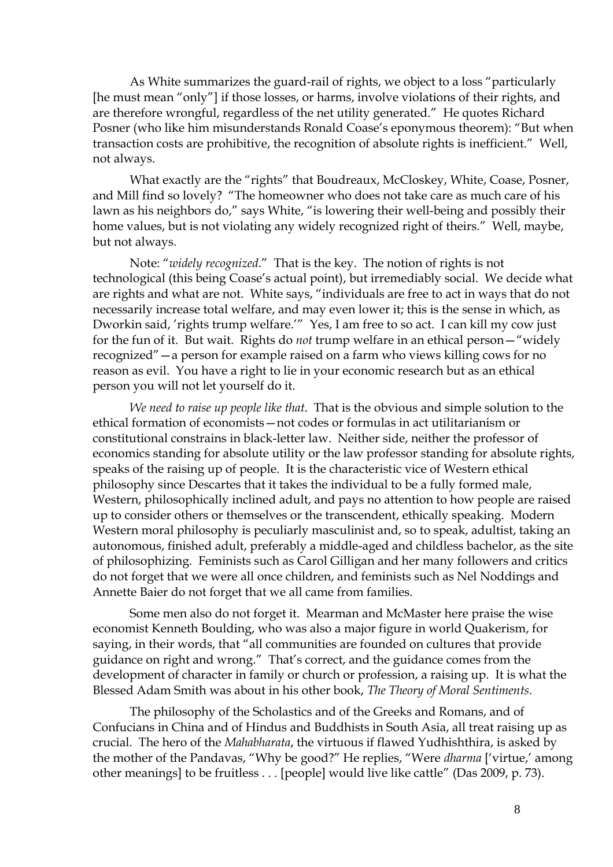As White summarizes the guard-rail of rights, we object to a loss "particularly [he must mean "only"] if those losses, or harms, involve violations of their rights, and are therefore wrongful, regardless of the net utility generated." He quotes Richard Posner (who like him misunderstands Ronald Coase's eponymous theorem): "But when transaction costs are prohibitive, the recognition of absolute rights is inefficient." Well, not always.

What exactly are the "rights" that Boudreaux, McCloskey, White, Coase, Posner, and Mill find so lovely? "The homeowner who does not take care as much care of his lawn as his neighbors do," says White, "is lowering their well-being and possibly their home values, but is not violating any widely recognized right of theirs." Well, maybe, but not always.

Note: "*widely recognized*." That is the key. The notion of rights is not technological (this being Coase's actual point), but irremediably social. We decide what are rights and what are not. White says, "individuals are free to act in ways that do not necessarily increase total welfare, and may even lower it; this is the sense in which, as Dworkin said, 'rights trump welfare.'" Yes, I am free to so act. I can kill my cow just for the fun of it. But wait. Rights do *not* trump welfare in an ethical person—"widely recognized"—a person for example raised on a farm who views killing cows for no reason as evil. You have a right to lie in your economic research but as an ethical person you will not let yourself do it.

*We need to raise up people like that*. That is the obvious and simple solution to the ethical formation of economists—not codes or formulas in act utilitarianism or constitutional constrains in black-letter law. Neither side, neither the professor of economics standing for absolute utility or the law professor standing for absolute rights, speaks of the raising up of people. It is the characteristic vice of Western ethical philosophy since Descartes that it takes the individual to be a fully formed male, Western, philosophically inclined adult, and pays no attention to how people are raised up to consider others or themselves or the transcendent, ethically speaking. Modern Western moral philosophy is peculiarly masculinist and, so to speak, adultist, taking an autonomous, finished adult, preferably a middle-aged and childless bachelor, as the site of philosophizing. Feminists such as Carol Gilligan and her many followers and critics do not forget that we were all once children, and feminists such as Nel Noddings and Annette Baier do not forget that we all came from families.

Some men also do not forget it. Mearman and McMaster here praise the wise economist Kenneth Boulding, who was also a major figure in world Quakerism, for saying, in their words, that "all communities are founded on cultures that provide guidance on right and wrong." That's correct, and the guidance comes from the development of character in family or church or profession, a raising up. It is what the Blessed Adam Smith was about in his other book, *The Theory of Moral Sentiments*.

The philosophy of the Scholastics and of the Greeks and Romans, and of Confucians in China and of Hindus and Buddhists in South Asia, all treat raising up as crucial. The hero of the *Mahabharata*, the virtuous if flawed Yudhishthira, is asked by the mother of the Pandavas, "Why be good?" He replies, "Were *dharma* ['virtue,' among other meanings] to be fruitless . . . [people] would live like cattle" (Das 2009, p. 73).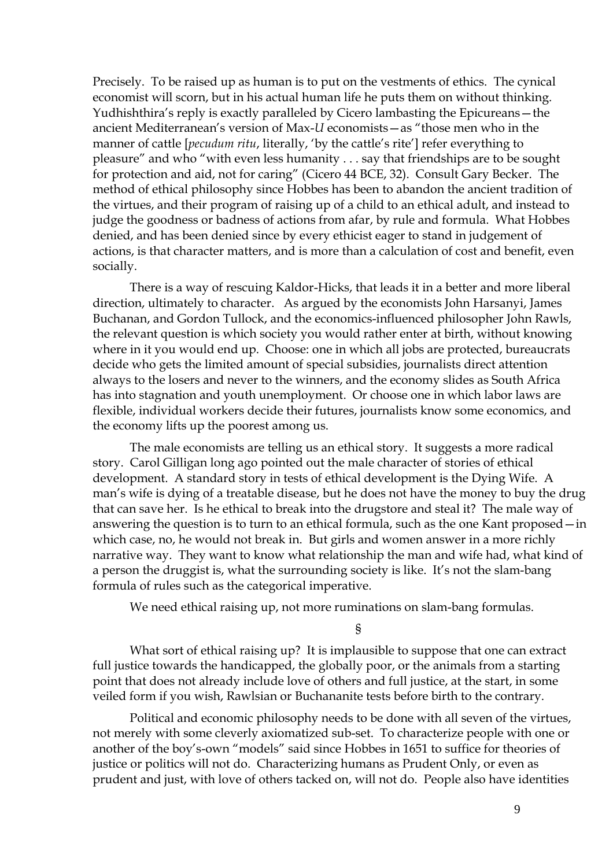Precisely. To be raised up as human is to put on the vestments of ethics. The cynical economist will scorn, but in his actual human life he puts them on without thinking. Yudhishthira's reply is exactly paralleled by Cicero lambasting the Epicureans—the ancient Mediterranean's version of Max-*U* economists—as "those men who in the manner of cattle [*pecudum ritu*, literally, 'by the cattle's rite'] refer everything to pleasure" and who "with even less humanity . . . say that friendships are to be sought for protection and aid, not for caring" (Cicero 44 BCE, 32). Consult Gary Becker. The method of ethical philosophy since Hobbes has been to abandon the ancient tradition of the virtues, and their program of raising up of a child to an ethical adult, and instead to judge the goodness or badness of actions from afar, by rule and formula. What Hobbes denied, and has been denied since by every ethicist eager to stand in judgement of actions, is that character matters, and is more than a calculation of cost and benefit, even socially.

There is a way of rescuing Kaldor-Hicks, that leads it in a better and more liberal direction, ultimately to character. As argued by the economists John Harsanyi, James Buchanan, and Gordon Tullock, and the economics-influenced philosopher John Rawls, the relevant question is which society you would rather enter at birth, without knowing where in it you would end up. Choose: one in which all jobs are protected, bureaucrats decide who gets the limited amount of special subsidies, journalists direct attention always to the losers and never to the winners, and the economy slides as South Africa has into stagnation and youth unemployment. Or choose one in which labor laws are flexible, individual workers decide their futures, journalists know some economics, and the economy lifts up the poorest among us.

The male economists are telling us an ethical story. It suggests a more radical story. Carol Gilligan long ago pointed out the male character of stories of ethical development. A standard story in tests of ethical development is the Dying Wife. A man's wife is dying of a treatable disease, but he does not have the money to buy the drug that can save her. Is he ethical to break into the drugstore and steal it? The male way of answering the question is to turn to an ethical formula, such as the one Kant proposed—in which case, no, he would not break in. But girls and women answer in a more richly narrative way. They want to know what relationship the man and wife had, what kind of a person the druggist is, what the surrounding society is like. It's not the slam-bang formula of rules such as the categorical imperative.

We need ethical raising up, not more ruminations on slam-bang formulas.

§

What sort of ethical raising up? It is implausible to suppose that one can extract full justice towards the handicapped, the globally poor, or the animals from a starting point that does not already include love of others and full justice, at the start, in some veiled form if you wish, Rawlsian or Buchananite tests before birth to the contrary.

Political and economic philosophy needs to be done with all seven of the virtues, not merely with some cleverly axiomatized sub-set. To characterize people with one or another of the boy's-own "models" said since Hobbes in 1651 to suffice for theories of justice or politics will not do. Characterizing humans as Prudent Only, or even as prudent and just, with love of others tacked on, will not do. People also have identities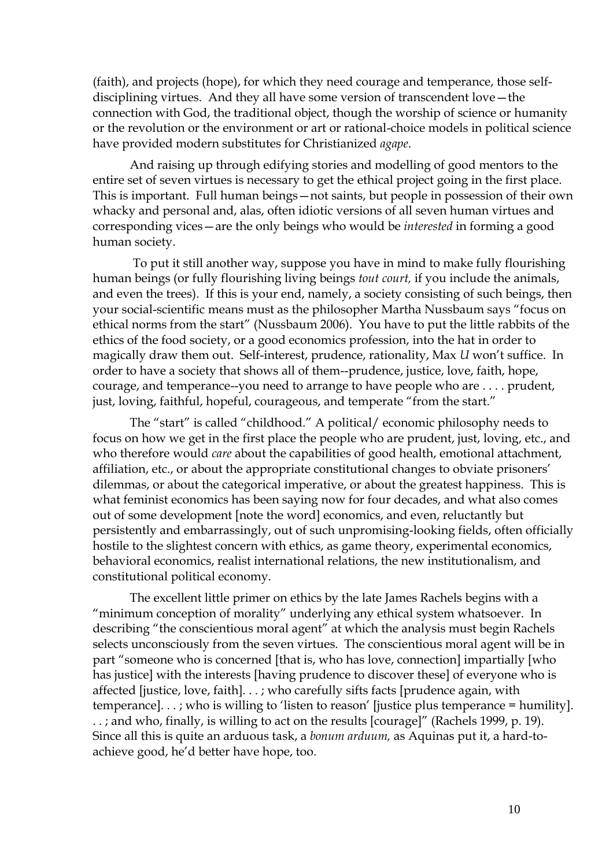(faith), and projects (hope), for which they need courage and temperance, those selfdisciplining virtues. And they all have some version of transcendent love—the connection with God, the traditional object, though the worship of science or humanity or the revolution or the environment or art or rational-choice models in political science have provided modern substitutes for Christianized *agape*.

And raising up through edifying stories and modelling of good mentors to the entire set of seven virtues is necessary to get the ethical project going in the first place. This is important. Full human beings—not saints, but people in possession of their own whacky and personal and, alas, often idiotic versions of all seven human virtues and corresponding vices—are the only beings who would be *interested* in forming a good human society.

To put it still another way, suppose you have in mind to make fully flourishing human beings (or fully flourishing living beings *tout court,* if you include the animals, and even the trees). If this is your end, namely, a society consisting of such beings, then your social-scientific means must as the philosopher Martha Nussbaum says "focus on ethical norms from the start" (Nussbaum 2006). You have to put the little rabbits of the ethics of the food society, or a good economics profession, into the hat in order to magically draw them out. Self-interest, prudence, rationality, Max *U* won't suffice. In order to have a society that shows all of them--prudence, justice, love, faith, hope, courage, and temperance--you need to arrange to have people who are . . . . prudent, just, loving, faithful, hopeful, courageous, and temperate "from the start."

The "start" is called "childhood." A political/ economic philosophy needs to focus on how we get in the first place the people who are prudent, just, loving, etc., and who therefore would *care* about the capabilities of good health, emotional attachment, affiliation, etc., or about the appropriate constitutional changes to obviate prisoners' dilemmas, or about the categorical imperative, or about the greatest happiness. This is what feminist economics has been saying now for four decades, and what also comes out of some development [note the word] economics, and even, reluctantly but persistently and embarrassingly, out of such unpromising-looking fields, often officially hostile to the slightest concern with ethics, as game theory, experimental economics, behavioral economics, realist international relations, the new institutionalism, and constitutional political economy.

The excellent little primer on ethics by the late James Rachels begins with a "minimum conception of morality" underlying any ethical system whatsoever. In describing "the conscientious moral agent" at which the analysis must begin Rachels selects unconsciously from the seven virtues. The conscientious moral agent will be in part "someone who is concerned [that is, who has love, connection] impartially [who has justice] with the interests [having prudence to discover these] of everyone who is affected [justice, love, faith]. . . ; who carefully sifts facts [prudence again, with temperance]. . . ; who is willing to 'listen to reason' [justice plus temperance = humility]. . . ; and who, finally, is willing to act on the results [courage]" (Rachels 1999, p. 19). Since all this is quite an arduous task, a *bonum arduum,* as Aquinas put it, a hard-toachieve good, he'd better have hope, too.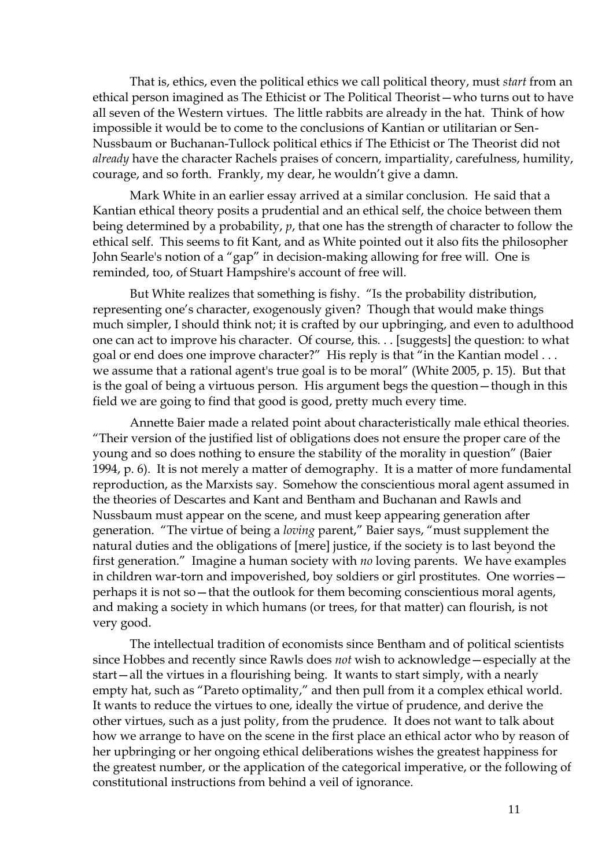That is, ethics, even the political ethics we call political theory, must *start* from an ethical person imagined as The Ethicist or The Political Theorist—who turns out to have all seven of the Western virtues. The little rabbits are already in the hat. Think of how impossible it would be to come to the conclusions of Kantian or utilitarian or Sen-Nussbaum or Buchanan-Tullock political ethics if The Ethicist or The Theorist did not *already* have the character Rachels praises of concern, impartiality, carefulness, humility, courage, and so forth. Frankly, my dear, he wouldn't give a damn.

Mark White in an earlier essay arrived at a similar conclusion. He said that a Kantian ethical theory posits a prudential and an ethical self, the choice between them being determined by a probability, *p*, that one has the strength of character to follow the ethical self. This seems to fit Kant, and as White pointed out it also fits the philosopher John Searle's notion of a "gap" in decision-making allowing for free will. One is reminded, too, of Stuart Hampshire's account of free will.

But White realizes that something is fishy. "Is the probability distribution, representing one's character, exogenously given? Though that would make things much simpler, I should think not; it is crafted by our upbringing, and even to adulthood one can act to improve his character. Of course, this. . . [suggests] the question: to what goal or end does one improve character?" His reply is that "in the Kantian model . . . we assume that a rational agent's true goal is to be moral" (White 2005, p. 15). But that is the goal of being a virtuous person. His argument begs the question—though in this field we are going to find that good is good, pretty much every time.

Annette Baier made a related point about characteristically male ethical theories. "Their version of the justified list of obligations does not ensure the proper care of the young and so does nothing to ensure the stability of the morality in question" (Baier 1994, p. 6). It is not merely a matter of demography. It is a matter of more fundamental reproduction, as the Marxists say. Somehow the conscientious moral agent assumed in the theories of Descartes and Kant and Bentham and Buchanan and Rawls and Nussbaum must appear on the scene, and must keep appearing generation after generation. "The virtue of being a *loving* parent," Baier says, "must supplement the natural duties and the obligations of [mere] justice, if the society is to last beyond the first generation." Imagine a human society with *no* loving parents. We have examples in children war-torn and impoverished, boy soldiers or girl prostitutes. One worries perhaps it is not so—that the outlook for them becoming conscientious moral agents, and making a society in which humans (or trees, for that matter) can flourish, is not very good.

The intellectual tradition of economists since Bentham and of political scientists since Hobbes and recently since Rawls does *not* wish to acknowledge—especially at the start—all the virtues in a flourishing being. It wants to start simply, with a nearly empty hat, such as "Pareto optimality," and then pull from it a complex ethical world. It wants to reduce the virtues to one, ideally the virtue of prudence, and derive the other virtues, such as a just polity, from the prudence. It does not want to talk about how we arrange to have on the scene in the first place an ethical actor who by reason of her upbringing or her ongoing ethical deliberations wishes the greatest happiness for the greatest number, or the application of the categorical imperative, or the following of constitutional instructions from behind a veil of ignorance.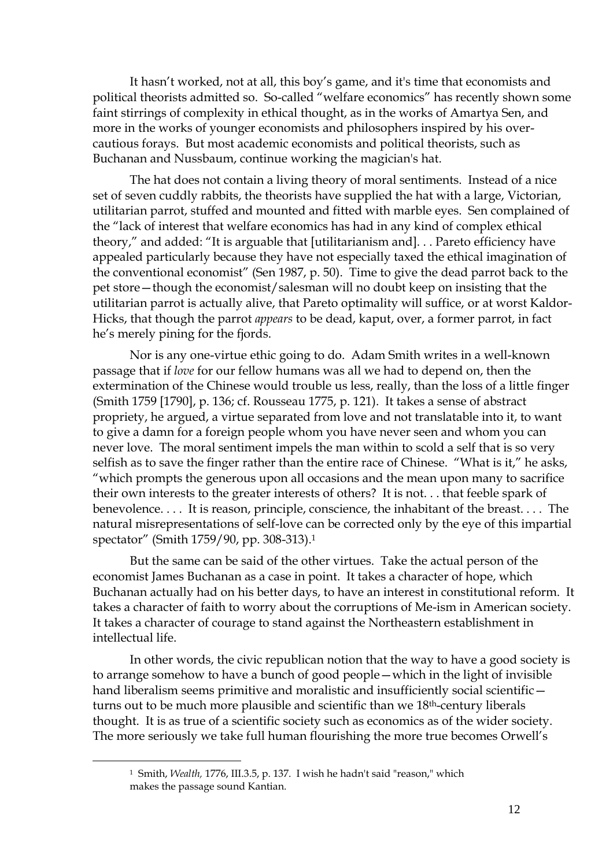It hasn't worked, not at all, this boy's game, and it's time that economists and political theorists admitted so. So-called "welfare economics" has recently shown some faint stirrings of complexity in ethical thought, as in the works of Amartya Sen, and more in the works of younger economists and philosophers inspired by his overcautious forays. But most academic economists and political theorists, such as Buchanan and Nussbaum, continue working the magician's hat.

The hat does not contain a living theory of moral sentiments. Instead of a nice set of seven cuddly rabbits, the theorists have supplied the hat with a large, Victorian, utilitarian parrot, stuffed and mounted and fitted with marble eyes. Sen complained of the "lack of interest that welfare economics has had in any kind of complex ethical theory," and added: "It is arguable that [utilitarianism and]. . . Pareto efficiency have appealed particularly because they have not especially taxed the ethical imagination of the conventional economist" (Sen 1987, p. 50). Time to give the dead parrot back to the pet store—though the economist/salesman will no doubt keep on insisting that the utilitarian parrot is actually alive, that Pareto optimality will suffice, or at worst Kaldor-Hicks, that though the parrot *appears* to be dead, kaput, over, a former parrot, in fact he's merely pining for the fjords.

Nor is any one-virtue ethic going to do. Adam Smith writes in a well-known passage that if *love* for our fellow humans was all we had to depend on, then the extermination of the Chinese would trouble us less, really, than the loss of a little finger (Smith 1759 [1790], p. 136; cf. Rousseau 1775, p. 121). It takes a sense of abstract propriety, he argued, a virtue separated from love and not translatable into it, to want to give a damn for a foreign people whom you have never seen and whom you can never love. The moral sentiment impels the man within to scold a self that is so very selfish as to save the finger rather than the entire race of Chinese. "What is it," he asks, "which prompts the generous upon all occasions and the mean upon many to sacrifice their own interests to the greater interests of others? It is not. . . that feeble spark of benevolence. . . . It is reason, principle, conscience, the inhabitant of the breast. . . . The natural misrepresentations of self-love can be corrected only by the eye of this impartial spectator" (Smith 1759/90, pp. 308-313).<sup>1</sup>

But the same can be said of the other virtues. Take the actual person of the economist James Buchanan as a case in point. It takes a character of hope, which Buchanan actually had on his better days, to have an interest in constitutional reform. It takes a character of faith to worry about the corruptions of Me-ism in American society. It takes a character of courage to stand against the Northeastern establishment in intellectual life.

In other words, the civic republican notion that the way to have a good society is to arrange somehow to have a bunch of good people—which in the light of invisible hand liberalism seems primitive and moralistic and insufficiently social scientific turns out to be much more plausible and scientific than we 18<sup>th</sup>-century liberals thought. It is as true of a scientific society such as economics as of the wider society. The more seriously we take full human flourishing the more true becomes Orwell's

 $\overline{a}$ 

<sup>1</sup> Smith, *Wealth,* 1776, III.3.5, p. 137. I wish he hadn't said "reason," which makes the passage sound Kantian.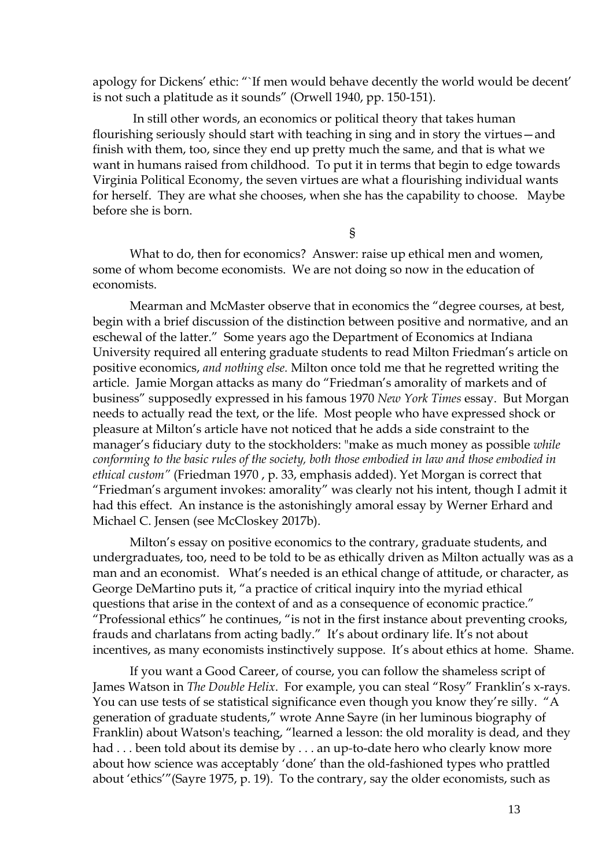apology for Dickens' ethic: "`If men would behave decently the world would be decent' is not such a platitude as it sounds" (Orwell 1940, pp. 150-151).

In still other words, an economics or political theory that takes human flourishing seriously should start with teaching in sing and in story the virtues—and finish with them, too, since they end up pretty much the same, and that is what we want in humans raised from childhood. To put it in terms that begin to edge towards Virginia Political Economy, the seven virtues are what a flourishing individual wants for herself. They are what she chooses, when she has the capability to choose. Maybe before she is born.

§

What to do, then for economics? Answer: raise up ethical men and women, some of whom become economists. We are not doing so now in the education of economists.

Mearman and McMaster observe that in economics the "degree courses, at best, begin with a brief discussion of the distinction between positive and normative, and an eschewal of the latter." Some years ago the Department of Economics at Indiana University required all entering graduate students to read Milton Friedman's article on positive economics, *and nothing else.* Milton once told me that he regretted writing the article. Jamie Morgan attacks as many do "Friedman's amorality of markets and of business" supposedly expressed in his famous 1970 *New York Times* essay. But Morgan needs to actually read the text, or the life. Most people who have expressed shock or pleasure at Milton's article have not noticed that he adds a side constraint to the manager's fiduciary duty to the stockholders: "make as much money as possible *while conforming to the basic rules of the society, both those embodied in law and those embodied in ethical custom"* (Friedman 1970 , p. 33, emphasis added). Yet Morgan is correct that "Friedman's argument invokes: amorality" was clearly not his intent, though I admit it had this effect. An instance is the astonishingly amoral essay by Werner Erhard and Michael C. Jensen (see McCloskey 2017b).

Milton's essay on positive economics to the contrary, graduate students, and undergraduates, too, need to be told to be as ethically driven as Milton actually was as a man and an economist. What's needed is an ethical change of attitude, or character, as George DeMartino puts it, "a practice of critical inquiry into the myriad ethical questions that arise in the context of and as a consequence of economic practice." "Professional ethics" he continues, "is not in the first instance about preventing crooks, frauds and charlatans from acting badly." It's about ordinary life. It's not about incentives, as many economists instinctively suppose. It's about ethics at home. Shame.

If you want a Good Career, of course, you can follow the shameless script of James Watson in *The Double Helix*. For example, you can steal "Rosy" Franklin's x-rays. You can use tests of se statistical significance even though you know they're silly. "A generation of graduate students," wrote Anne Sayre (in her luminous biography of Franklin) about Watson's teaching, "learned a lesson: the old morality is dead, and they had . . . been told about its demise by . . . an up*-*to-date hero who clearly know more about how science was acceptably 'done' than the old-fashioned types who prattled about 'ethics'"(Sayre 1975, p. 19). To the contrary, say the older economists, such as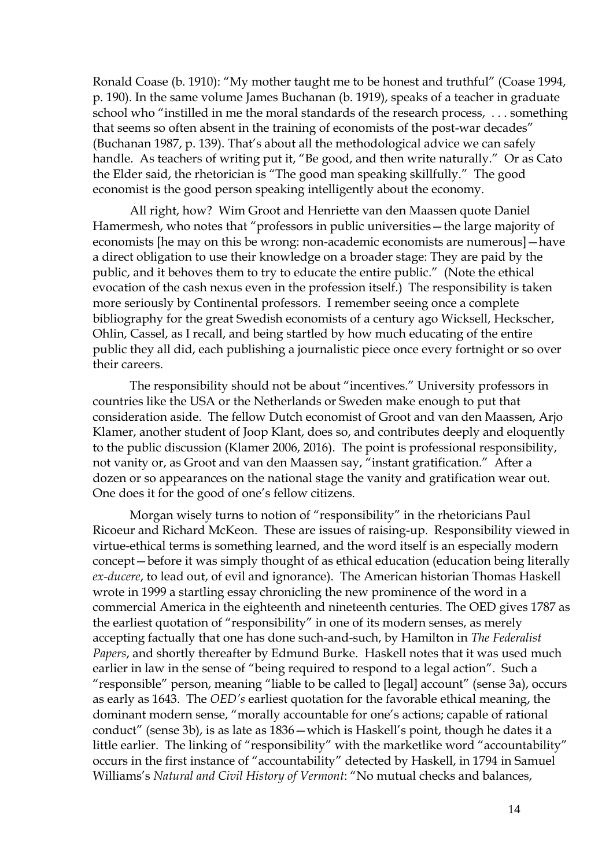Ronald Coase (b. 1910): "My mother taught me to be honest and truthful" (Coase 1994, p. 190). In the same volume James Buchanan (b. 1919), speaks of a teacher in graduate school who "instilled in me the moral standards of the research process, . . . something that seems so often absent in the training of economists of the post-war decades" (Buchanan 1987, p. 139). That's about all the methodological advice we can safely handle. As teachers of writing put it, "Be good, and then write naturally." Or as Cato the Elder said, the rhetorician is "The good man speaking skillfully." The good economist is the good person speaking intelligently about the economy.

All right, how? Wim Groot and Henriette van den Maassen quote Daniel Hamermesh, who notes that "professors in public universities—the large majority of economists [he may on this be wrong: non-academic economists are numerous]—have a direct obligation to use their knowledge on a broader stage: They are paid by the public, and it behoves them to try to educate the entire public." (Note the ethical evocation of the cash nexus even in the profession itself.) The responsibility is taken more seriously by Continental professors. I remember seeing once a complete bibliography for the great Swedish economists of a century ago Wicksell, Heckscher, Ohlin, Cassel, as I recall, and being startled by how much educating of the entire public they all did, each publishing a journalistic piece once every fortnight or so over their careers.

The responsibility should not be about "incentives." University professors in countries like the USA or the Netherlands or Sweden make enough to put that consideration aside. The fellow Dutch economist of Groot and van den Maassen, Arjo Klamer, another student of Joop Klant, does so, and contributes deeply and eloquently to the public discussion (Klamer 2006, 2016). The point is professional responsibility, not vanity or, as Groot and van den Maassen say, "instant gratification." After a dozen or so appearances on the national stage the vanity and gratification wear out. One does it for the good of one's fellow citizens.

Morgan wisely turns to notion of "responsibility" in the rhetoricians Paul Ricoeur and Richard McKeon. These are issues of raising-up. Responsibility viewed in virtue-ethical terms is something learned, and the word itself is an especially modern concept—before it was simply thought of as ethical education (education being literally *ex-ducere*, to lead out, of evil and ignorance). The American historian Thomas Haskell wrote in 1999 a startling essay chronicling the new prominence of the word in a commercial America in the eighteenth and nineteenth centuries. The OED gives 1787 as the earliest quotation of "responsibility" in one of its modern senses, as merely accepting factually that one has done such-and-such, by Hamilton in *The Federalist Papers*, and shortly thereafter by Edmund Burke. Haskell notes that it was used much earlier in law in the sense of "being required to respond to a legal action". Such a "responsible" person, meaning "liable to be called to [legal] account" (sense 3a), occurs as early as 1643. The *OED's* earliest quotation for the favorable ethical meaning, the dominant modern sense, "morally accountable for one's actions; capable of rational conduct" (sense 3b), is as late as 1836—which is Haskell's point, though he dates it a little earlier. The linking of "responsibility" with the marketlike word "accountability" occurs in the first instance of "accountability" detected by Haskell, in 1794 in Samuel Williams's *Natural and Civil History of Vermont*: "No mutual checks and balances,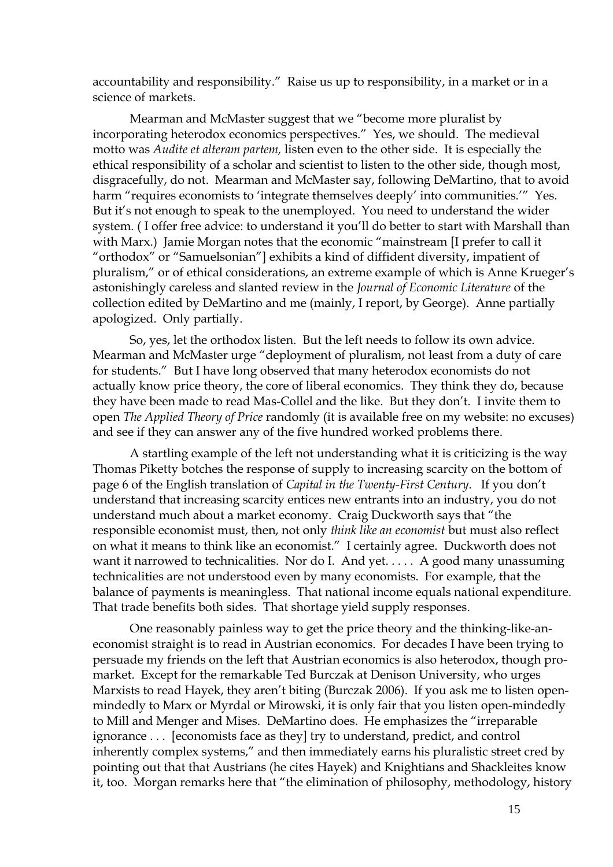accountability and responsibility." Raise us up to responsibility, in a market or in a science of markets.

Mearman and McMaster suggest that we "become more pluralist by incorporating heterodox economics perspectives." Yes, we should. The medieval motto was *Audite et alteram partem,* listen even to the other side. It is especially the ethical responsibility of a scholar and scientist to listen to the other side, though most, disgracefully, do not. Mearman and McMaster say, following DeMartino, that to avoid harm "requires economists to 'integrate themselves deeply' into communities.'" Yes. But it's not enough to speak to the unemployed. You need to understand the wider system. ( I offer free advice: to understand it you'll do better to start with Marshall than with Marx.) Jamie Morgan notes that the economic "mainstream [I prefer to call it "orthodox" or "Samuelsonian"] exhibits a kind of diffident diversity, impatient of pluralism," or of ethical considerations, an extreme example of which is Anne Krueger's astonishingly careless and slanted review in the *Journal of Economic Literature* of the collection edited by DeMartino and me (mainly, I report, by George). Anne partially apologized. Only partially.

So, yes, let the orthodox listen. But the left needs to follow its own advice. Mearman and McMaster urge "deployment of pluralism, not least from a duty of care for students." But I have long observed that many heterodox economists do not actually know price theory, the core of liberal economics. They think they do, because they have been made to read Mas-Collel and the like. But they don't. I invite them to open *The Applied Theory of Price* randomly (it is available free on my website: no excuses) and see if they can answer any of the five hundred worked problems there.

A startling example of the left not understanding what it is criticizing is the way Thomas Piketty botches the response of supply to increasing scarcity on the bottom of page 6 of the English translation of *Capital in the Twenty-First Century*. If you don't understand that increasing scarcity entices new entrants into an industry, you do not understand much about a market economy. Craig Duckworth says that "the responsible economist must, then, not only *think like an economist* but must also reflect on what it means to think like an economist." I certainly agree. Duckworth does not want it narrowed to technicalities. Nor do I. And yet. . . . . A good many unassuming technicalities are not understood even by many economists. For example, that the balance of payments is meaningless. That national income equals national expenditure. That trade benefits both sides. That shortage yield supply responses.

One reasonably painless way to get the price theory and the thinking-like-aneconomist straight is to read in Austrian economics. For decades I have been trying to persuade my friends on the left that Austrian economics is also heterodox, though promarket. Except for the remarkable Ted Burczak at Denison University, who urges Marxists to read Hayek, they aren't biting (Burczak 2006). If you ask me to listen openmindedly to Marx or Myrdal or Mirowski, it is only fair that you listen open-mindedly to Mill and Menger and Mises. DeMartino does. He emphasizes the "irreparable ignorance . . . [economists face as they] try to understand, predict, and control inherently complex systems," and then immediately earns his pluralistic street cred by pointing out that that Austrians (he cites Hayek) and Knightians and Shackleites know it, too. Morgan remarks here that "the elimination of philosophy, methodology, history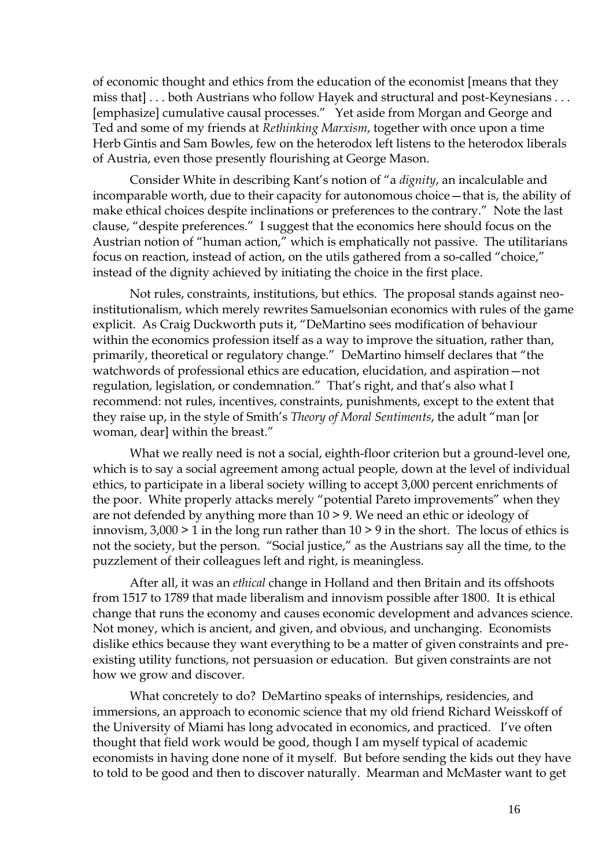of economic thought and ethics from the education of the economist [means that they miss that] . . . both Austrians who follow Hayek and structural and post-Keynesians . . . [emphasize] cumulative causal processes." Yet aside from Morgan and George and Ted and some of my friends at *Rethinking Marxism*, together with once upon a time Herb Gintis and Sam Bowles, few on the heterodox left listens to the heterodox liberals of Austria, even those presently flourishing at George Mason.

Consider White in describing Kant's notion of "a *dignity*, an incalculable and incomparable worth, due to their capacity for autonomous choice—that is, the ability of make ethical choices despite inclinations or preferences to the contrary." Note the last clause, "despite preferences." I suggest that the economics here should focus on the Austrian notion of "human action," which is emphatically not passive. The utilitarians focus on reaction, instead of action, on the utils gathered from a so-called "choice," instead of the dignity achieved by initiating the choice in the first place.

Not rules, constraints, institutions, but ethics. The proposal stands against neoinstitutionalism, which merely rewrites Samuelsonian economics with rules of the game explicit. As Craig Duckworth puts it, "DeMartino sees modification of behaviour within the economics profession itself as a way to improve the situation, rather than, primarily, theoretical or regulatory change." DeMartino himself declares that "the watchwords of professional ethics are education, elucidation, and aspiration—not regulation, legislation, or condemnation." That's right, and that's also what I recommend: not rules, incentives, constraints, punishments, except to the extent that they raise up, in the style of Smith's *Theory of Moral Sentiments*, the adult "man [or woman, dear] within the breast."

What we really need is not a social, eighth-floor criterion but a ground-level one, which is to say a social agreement among actual people, down at the level of individual ethics, to participate in a liberal society willing to accept 3,000 percent enrichments of the poor. White properly attacks merely "potential Pareto improvements" when they are not defended by anything more than 10 > 9. We need an ethic or ideology of innovism, 3,000 > 1 in the long run rather than 10 > 9 in the short. The locus of ethics is not the society, but the person. "Social justice," as the Austrians say all the time, to the puzzlement of their colleagues left and right, is meaningless.

After all, it was an *ethical* change in Holland and then Britain and its offshoots from 1517 to 1789 that made liberalism and innovism possible after 1800. It is ethical change that runs the economy and causes economic development and advances science. Not money, which is ancient, and given, and obvious, and unchanging. Economists dislike ethics because they want everything to be a matter of given constraints and preexisting utility functions, not persuasion or education. But given constraints are not how we grow and discover.

What concretely to do? DeMartino speaks of internships, residencies, and immersions, an approach to economic science that my old friend Richard Weisskoff of the University of Miami has long advocated in economics, and practiced. I've often thought that field work would be good, though I am myself typical of academic economists in having done none of it myself. But before sending the kids out they have to told to be good and then to discover naturally. Mearman and McMaster want to get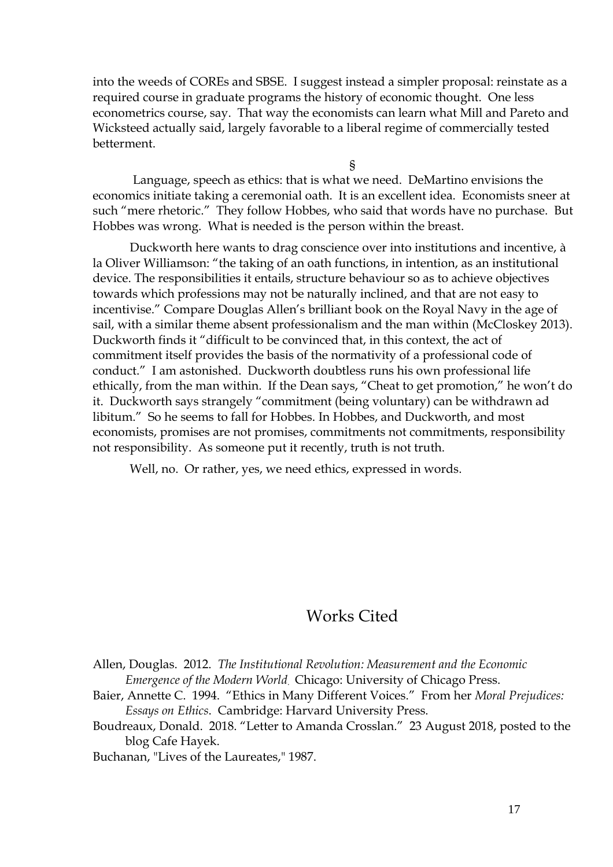into the weeds of COREs and SBSE. I suggest instead a simpler proposal: reinstate as a required course in graduate programs the history of economic thought. One less econometrics course, say. That way the economists can learn what Mill and Pareto and Wicksteed actually said, largely favorable to a liberal regime of commercially tested betterment.

§

Language, speech as ethics: that is what we need. DeMartino envisions the economics initiate taking a ceremonial oath. It is an excellent idea. Economists sneer at such "mere rhetoric." They follow Hobbes, who said that words have no purchase. But Hobbes was wrong. What is needed is the person within the breast.

Duckworth here wants to drag conscience over into institutions and incentive, à la Oliver Williamson: "the taking of an oath functions, in intention, as an institutional device. The responsibilities it entails, structure behaviour so as to achieve objectives towards which professions may not be naturally inclined, and that are not easy to incentivise." Compare Douglas Allen's brilliant book on the Royal Navy in the age of sail, with a similar theme absent professionalism and the man within (McCloskey 2013). Duckworth finds it "difficult to be convinced that, in this context, the act of commitment itself provides the basis of the normativity of a professional code of conduct." I am astonished. Duckworth doubtless runs his own professional life ethically, from the man within. If the Dean says, "Cheat to get promotion," he won't do it. Duckworth says strangely "commitment (being voluntary) can be withdrawn ad libitum." So he seems to fall for Hobbes. In Hobbes, and Duckworth, and most economists, promises are not promises, commitments not commitments, responsibility not responsibility. As someone put it recently, truth is not truth.

Well, no. Or rather, yes, we need ethics, expressed in words.

## Works Cited

Allen, Douglas. 2012. *The Institutional Revolution: Measurement and the Economic Emergence of the Modern World.* Chicago: University of Chicago Press.

Baier, Annette C. 1994. "Ethics in Many Different Voices." From her *Moral Prejudices: Essays on Ethics*. Cambridge: Harvard University Press.

Boudreaux, Donald. 2018. "Letter to Amanda Crosslan." 23 August 2018, posted to the blog Cafe Hayek.

Buchanan, "Lives of the Laureates," 1987.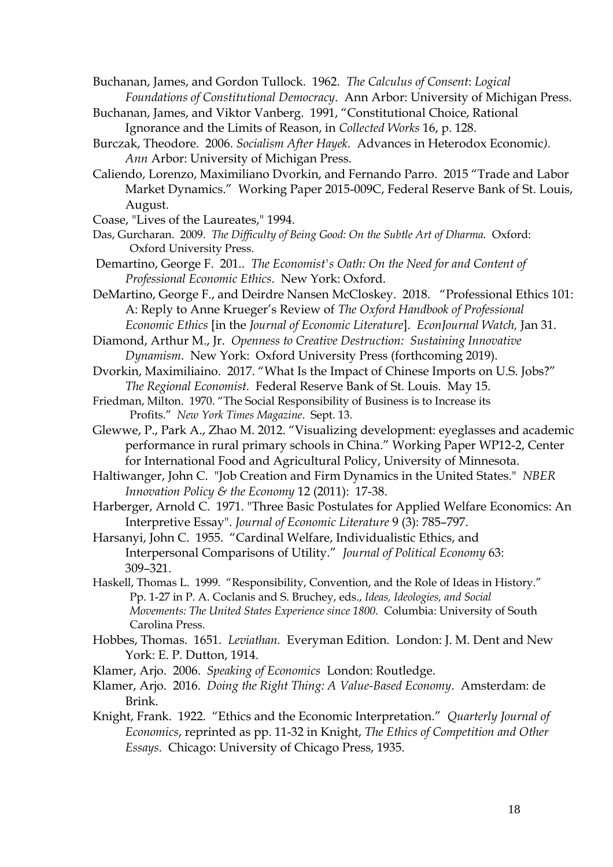Buchanan, James, and Gordon Tullock. 1962. *The Calculus of Consent*: *Logical Foundations of Constitutional Democracy*. Ann Arbor: University of Michigan Press.

- Buchanan, James, and Viktor Vanberg. 1991, "Constitutional Choice, Rational Ignorance and the Limits of Reason, in *Collected Works* 16, p. 128.
- Burczak, Theodore. 2006. *Socialism After Hayek.* Advances in Heterodox Economic*). Ann* Arbor: University of Michigan Press.
- Caliendo, Lorenzo, Maximiliano Dvorkin, and Fernando Parro. 2015 "Trade and Labor Market Dynamics." Working Paper 2015-009C, Federal Reserve Bank of St. Louis, August.
- Coase, "Lives of the Laureates," 1994.
- Das, Gurcharan. 2009. *The Difficulty of Being Good: On the Subtle Art of Dharma.* Oxford: Oxford University Press.
- Demartino, George F. 201.. *The Economist's Oath: On the Need for and Content of Professional Economic Ethics*. New York: Oxford.
- DeMartino, George F., and Deirdre Nansen McCloskey. 2018. "Professional Ethics 101: A: Reply to Anne Krueger's Review of *The Oxford Handbook of Professional Economic Ethics* [in the *Journal of Economic Literature*]. *EconJournal Watch,* Jan 31.

Diamond, Arthur M., Jr. *Openness to Creative Destruction: Sustaining Innovative Dynamism*. New York: Oxford University Press (forthcoming 2019).

- Dvorkin, Maximiliaino. 2017. "What Is the Impact of Chinese Imports on U.S. Jobs?" *The Regional Economist.* Federal Reserve Bank of St. Louis. May 15.
- Friedman, Milton. 1970. "The Social Responsibility of Business is to Increase its Profits." *New York Times Magazine*. Sept. 13.
- Glewwe, P., Park A., Zhao M. 2012. "Visualizing development: eyeglasses and academic performance in rural primary schools in China." Working Paper WP12-2, Center for International Food and Agricultural Policy, University of Minnesota.
- Haltiwanger, John C. "Job Creation and Firm Dynamics in the United States." *NBER Innovation Policy & the Economy* 12 (2011): 17-38.
- Harberger, Arnold C. 1971. "Three Basic Postulates for Applied Welfare Economics: An Interpretive Essay". *Journal of Economic Literature* 9 (3): 785–797.
- Harsanyi, John C. 1955. "Cardinal Welfare, Individualistic Ethics, and Interpersonal Comparisons of Utility." *Journal of Political Economy* 63: 309–321.
- Haskell, Thomas L. 1999. "Responsibility, Convention, and the Role of Ideas in History." Pp. 1-27 in P. A. Coclanis and S. Bruchey, eds., *Ideas, Ideologies, and Social Movements: The United States Experience since 1800.* Columbia: University of South Carolina Press.
- Hobbes, Thomas. 1651. *Leviathan.* Everyman Edition. London: J. M. Dent and New York: E. P. Dutton, 1914.
- Klamer, Arjo. 2006. *Speaking of Economics* London: Routledge.
- Klamer, Arjo. 2016. *Doing the Right Thing: A Value-Based Economy*. Amsterdam: de Brink.
- Knight, Frank. 1922. "Ethics and the Economic Interpretation." *Quarterly Journal of Economics*, reprinted as pp. 11-32 in Knight, *The Ethics of Competition and Other Essays*. Chicago: University of Chicago Press, 1935.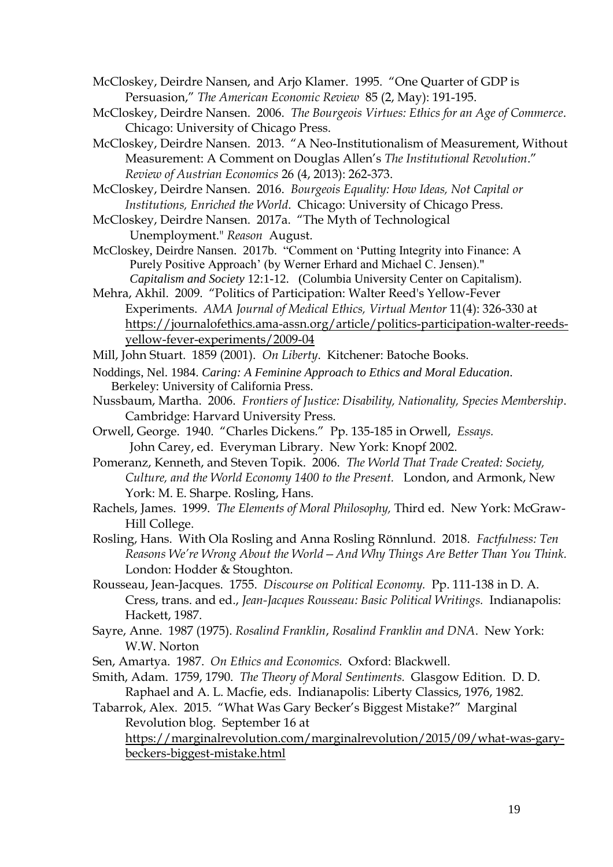McCloskey, Deirdre Nansen, and Arjo Klamer. 1995. "One Quarter of GDP is Persuasion," *The American Economic Review* 85 (2, May): 191-195.

- McCloskey, Deirdre Nansen. 2006. *The Bourgeois Virtues: Ethics for an Age of Commerce*. Chicago: University of Chicago Press.
- McCloskey, Deirdre Nansen. 2013. "A Neo-Institutionalism of Measurement, Without Measurement: A Comment on Douglas Allen's *The Institutional Revolution*." *Review of Austrian Economics* 26 (4, 2013): 262-373.

McCloskey, Deirdre Nansen. 2016. *Bourgeois Equality: How Ideas, Not Capital or Institutions, Enriched the World*. Chicago: University of Chicago Press.

- McCloskey, Deirdre Nansen. 2017a. "The Myth of Technological Unemployment." *Reason* August.
- McCloskey, Deirdre Nansen. 2017b. "Comment on 'Putting Integrity into Finance: A Purely Positive Approach' (by Werner Erhard and Michael C. Jensen)." *Capitalism and Society* 12:1-12. (Columbia University Center on Capitalism).
- Mehra, Akhil. 2009. "Politics of Participation: Walter Reed's Yellow-Fever Experiments. *AMA Journal of Medical Ethics, Virtual Mentor* 11(4): 326-330 at [https://journalofethics.ama-assn.org/article/politics-participation-walter-reeds](https://journalofethics.ama-assn.org/article/politics-participation-walter-reeds-yellow-fever-experiments/2009-04)[yellow-fever-experiments/2009-04](https://journalofethics.ama-assn.org/article/politics-participation-walter-reeds-yellow-fever-experiments/2009-04)
- Mill, John Stuart. 1859 (2001). *On Liberty*. Kitchener: Batoche Books.
- Noddings, Nel. 1984. *Caring: A Feminine Approach to Ethics and Moral Education*. Berkeley: University of California Press.
- Nussbaum, Martha. 2006. *Frontiers of Justice: Disability, Nationality, Species Membership*. Cambridge: Harvard University Press.
- Orwell, George. 1940. "Charles Dickens." Pp. 135-185 in Orwell, *Essays.*  John Carey, ed. Everyman Library. New York: Knopf 2002.
- Pomeranz, Kenneth, and Steven Topik. 2006. *The World That Trade Created: Society, Culture, and the World Economy 1400 to the Present.* London, and Armonk, New York: M. E. Sharpe. Rosling, Hans.
- Rachels, James. 1999. *The Elements of Moral Philosophy,* Third ed. New York: McGraw-Hill College.
- Rosling, Hans. With Ola Rosling and Anna Rosling Rönnlund. 2018. *Factfulness: Ten Reasons We're Wrong About the World—And Why Things Are Better Than You Think.*  London: Hodder & Stoughton.
- Rousseau, Jean-Jacques. 1755. *Discourse on Political Economy.* Pp. 111-138 in D. A. Cress, trans. and ed., *Jean-Jacques Rousseau: Basic Political Writings.* Indianapolis: Hackett, 1987.
- Sayre, Anne. 1987 (1975). *Rosalind Franklin*, *Rosalind Franklin and DNA*. New York: W.W. Norton

Sen, Amartya. 1987. *On Ethics and Economics.* Oxford: Blackwell.

Smith, Adam. 1759, 1790. *The Theory of Moral Sentiments.* Glasgow Edition. D. D. Raphael and A. L. Macfie, eds. Indianapolis: Liberty Classics, 1976, 1982.

Tabarrok, Alex. 2015. "What Was Gary Becker's Biggest Mistake?" Marginal Revolution blog. September 16 at

[https://marginalrevolution.com/marginalrevolution/2015/09/what-was-gary](https://marginalrevolution.com/marginalrevolution/2015/09/what-was-gary-beckers-biggest-mistake.html)[beckers-biggest-mistake.html](https://marginalrevolution.com/marginalrevolution/2015/09/what-was-gary-beckers-biggest-mistake.html)